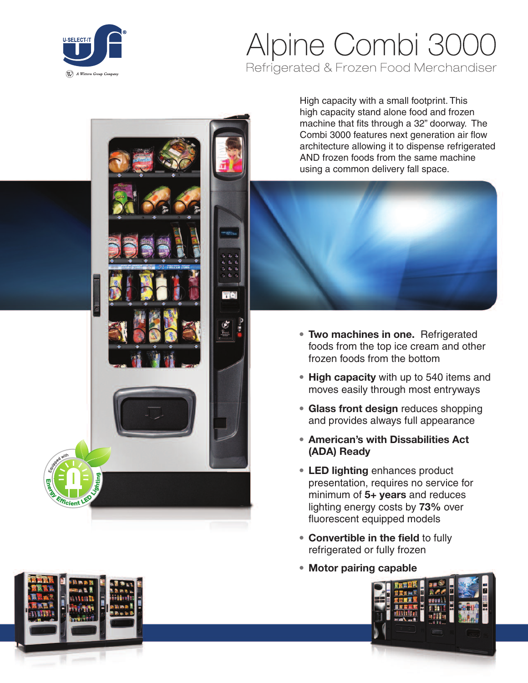

## Alpine Combi 3000 Refrigerated & Frozen Food Merchandiser

High capacity with a small footprint. This high capacity stand alone food and frozen machine that fits through a 32" doorway. The Combi 3000 features next generation air flow architecture allowing it to dispense refrigerated AND frozen foods from the same machine using a common delivery fall space.



- **• Two machines in one.** Refrigerated foods from the top ice cream and other frozen foods from the bottom
- **• High capacity** with up to 540 items and moves easily through most entryways
- **• Glass front design** reduces shopping and provides always full appearance
- **• American's with Dissabilities Act (ADA) Ready**
- **• LED lighting** enhances product presentation, requires no service for minimum of **5+ years** and reduces lighting energy costs by **73%** over fluorescent equipped models
- **• Convertible in the field** to fully refrigerated or fully frozen
- **• Motor pairing capable**